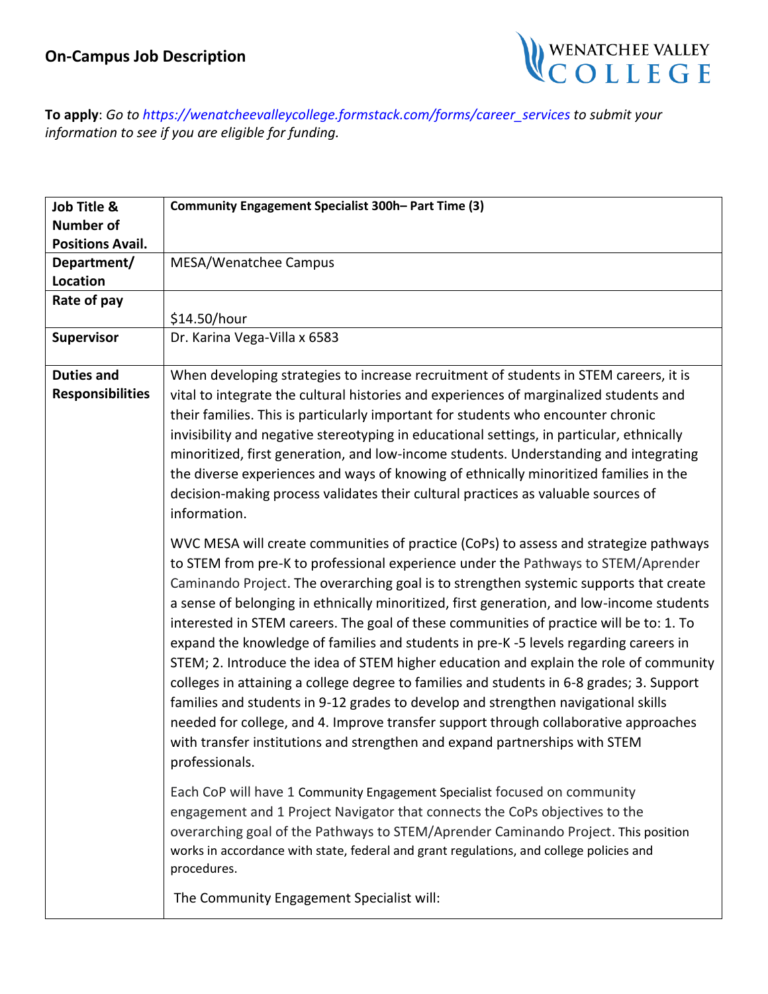

**To apply**: *Go to [https://wenatcheevalleyc](mailto:aolson@wvc.edu)ollege.formstack.com/forms/career\_services to submit your information to see if you are eligible for funding.*

| Job Title &             | Community Engagement Specialist 300h-Part Time (3)                                                                                                                                                                                                                                                                                                                                                                                                                                                                                                                                                                                                                                                                                                                                                                                                                                                                                                                                                                         |
|-------------------------|----------------------------------------------------------------------------------------------------------------------------------------------------------------------------------------------------------------------------------------------------------------------------------------------------------------------------------------------------------------------------------------------------------------------------------------------------------------------------------------------------------------------------------------------------------------------------------------------------------------------------------------------------------------------------------------------------------------------------------------------------------------------------------------------------------------------------------------------------------------------------------------------------------------------------------------------------------------------------------------------------------------------------|
| <b>Number of</b>        |                                                                                                                                                                                                                                                                                                                                                                                                                                                                                                                                                                                                                                                                                                                                                                                                                                                                                                                                                                                                                            |
| <b>Positions Avail.</b> |                                                                                                                                                                                                                                                                                                                                                                                                                                                                                                                                                                                                                                                                                                                                                                                                                                                                                                                                                                                                                            |
| Department/             | MESA/Wenatchee Campus                                                                                                                                                                                                                                                                                                                                                                                                                                                                                                                                                                                                                                                                                                                                                                                                                                                                                                                                                                                                      |
| Location                |                                                                                                                                                                                                                                                                                                                                                                                                                                                                                                                                                                                                                                                                                                                                                                                                                                                                                                                                                                                                                            |
| Rate of pay             |                                                                                                                                                                                                                                                                                                                                                                                                                                                                                                                                                                                                                                                                                                                                                                                                                                                                                                                                                                                                                            |
|                         | \$14.50/hour                                                                                                                                                                                                                                                                                                                                                                                                                                                                                                                                                                                                                                                                                                                                                                                                                                                                                                                                                                                                               |
| <b>Supervisor</b>       | Dr. Karina Vega-Villa x 6583                                                                                                                                                                                                                                                                                                                                                                                                                                                                                                                                                                                                                                                                                                                                                                                                                                                                                                                                                                                               |
| <b>Duties and</b>       | When developing strategies to increase recruitment of students in STEM careers, it is                                                                                                                                                                                                                                                                                                                                                                                                                                                                                                                                                                                                                                                                                                                                                                                                                                                                                                                                      |
| <b>Responsibilities</b> | vital to integrate the cultural histories and experiences of marginalized students and                                                                                                                                                                                                                                                                                                                                                                                                                                                                                                                                                                                                                                                                                                                                                                                                                                                                                                                                     |
|                         | their families. This is particularly important for students who encounter chronic                                                                                                                                                                                                                                                                                                                                                                                                                                                                                                                                                                                                                                                                                                                                                                                                                                                                                                                                          |
|                         | invisibility and negative stereotyping in educational settings, in particular, ethnically<br>minoritized, first generation, and low-income students. Understanding and integrating<br>the diverse experiences and ways of knowing of ethnically minoritized families in the<br>decision-making process validates their cultural practices as valuable sources of<br>information.                                                                                                                                                                                                                                                                                                                                                                                                                                                                                                                                                                                                                                           |
|                         | WVC MESA will create communities of practice (CoPs) to assess and strategize pathways<br>to STEM from pre-K to professional experience under the Pathways to STEM/Aprender<br>Caminando Project. The overarching goal is to strengthen systemic supports that create<br>a sense of belonging in ethnically minoritized, first generation, and low-income students<br>interested in STEM careers. The goal of these communities of practice will be to: 1. To<br>expand the knowledge of families and students in pre-K-5 levels regarding careers in<br>STEM; 2. Introduce the idea of STEM higher education and explain the role of community<br>colleges in attaining a college degree to families and students in 6-8 grades; 3. Support<br>families and students in 9-12 grades to develop and strengthen navigational skills<br>needed for college, and 4. Improve transfer support through collaborative approaches<br>with transfer institutions and strengthen and expand partnerships with STEM<br>professionals. |
|                         | Each CoP will have 1 Community Engagement Specialist focused on community<br>engagement and 1 Project Navigator that connects the CoPs objectives to the<br>overarching goal of the Pathways to STEM/Aprender Caminando Project. This position<br>works in accordance with state, federal and grant regulations, and college policies and<br>procedures.                                                                                                                                                                                                                                                                                                                                                                                                                                                                                                                                                                                                                                                                   |
|                         | The Community Engagement Specialist will:                                                                                                                                                                                                                                                                                                                                                                                                                                                                                                                                                                                                                                                                                                                                                                                                                                                                                                                                                                                  |